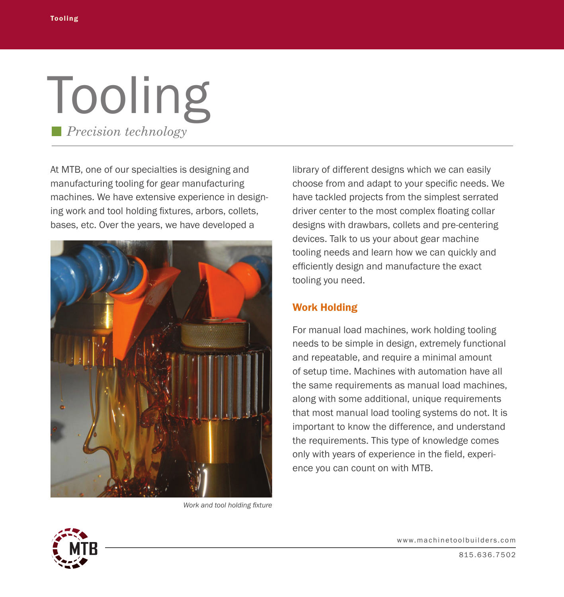## Tooling *Precision technology*

At MTB, one of our specialties is designing and manufacturing tooling for gear manufacturing machines. We have extensive experience in designing work and tool holding fixtures, arbors, collets, bases, etc. Over the years, we have developed a



*Work and tool holding fixture*

library of different designs which we can easily choose from and adapt to your specific needs. We have tackled projects from the simplest serrated driver center to the most complex floating collar designs with drawbars, collets and pre-centering devices. Talk to us your about gear machine tooling needs and learn how we can quickly and efficiently design and manufacture the exact tooling you need.

## Work Holding

For manual load machines, work holding tooling needs to be simple in design, extremely functional and repeatable, and require a minimal amount of setup time. Machines with automation have all the same requirements as manual load machines, along with some additional, unique requirements that most manual load tooling systems do not. It is important to know the difference, and understand the requirements. This type of knowledge comes only with years of experience in the field, experience you can count on with MTB.